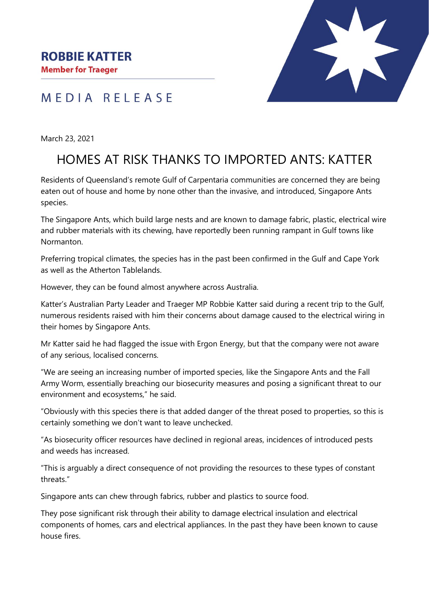MEDIA RELEASE



March 23, 2021

## HOMES AT RISK THANKS TO IMPORTED ANTS: KATTER

Residents of Queensland's remote Gulf of Carpentaria communities are concerned they are being eaten out of house and home by none other than the invasive, and introduced, Singapore Ants species.

The Singapore Ants, which build large nests and are known to damage fabric, plastic, electrical wire and rubber materials with its chewing, have reportedly been running rampant in Gulf towns like Normanton.

Preferring tropical climates, the species has in the past been confirmed in the Gulf and Cape York as well as the Atherton Tablelands.

However, they can be found almost anywhere across Australia.

Katter's Australian Party Leader and Traeger MP Robbie Katter said during a recent trip to the Gulf, numerous residents raised with him their concerns about damage caused to the electrical wiring in their homes by Singapore Ants.

Mr Katter said he had flagged the issue with Ergon Energy, but that the company were not aware of any serious, localised concerns.

"We are seeing an increasing number of imported species, like the Singapore Ants and the Fall Army Worm, essentially breaching our biosecurity measures and posing a significant threat to our environment and ecosystems," he said.

"Obviously with this species there is that added danger of the threat posed to properties, so this is certainly something we don't want to leave unchecked.

"As biosecurity officer resources have declined in regional areas, incidences of introduced pests and weeds has increased.

"This is arguably a direct consequence of not providing the resources to these types of constant threats."

Singapore ants can chew through fabrics, rubber and plastics to source food.

They pose significant risk through their ability to damage electrical insulation and electrical components of homes, cars and electrical appliances. In the past they have been known to cause house fires.